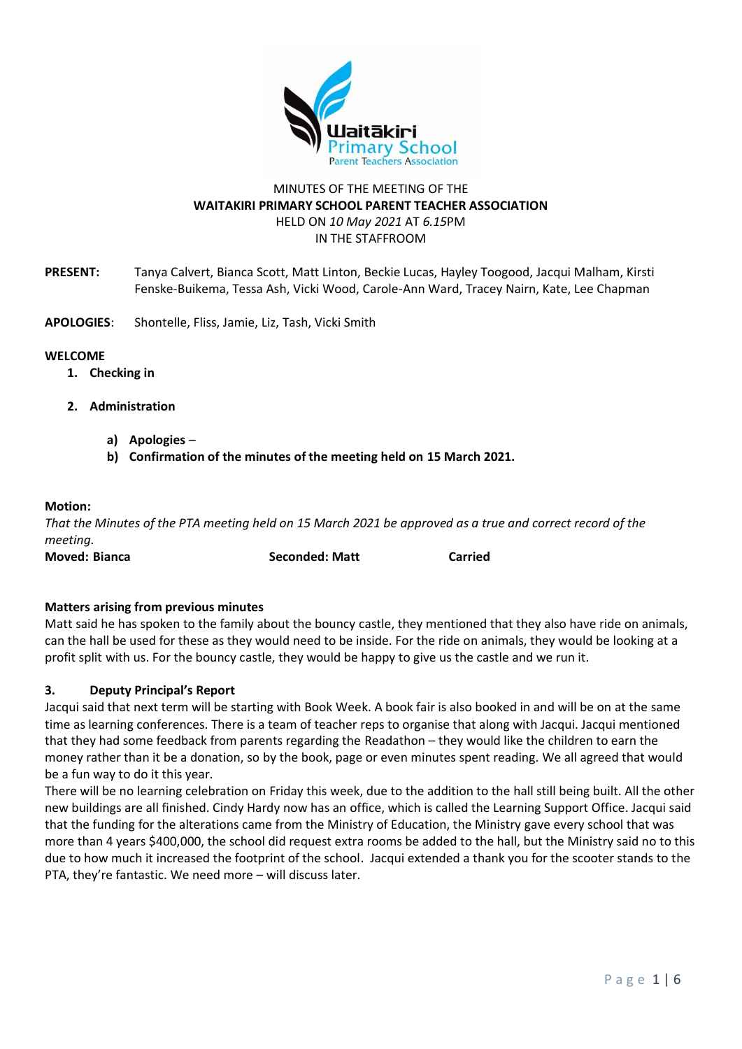

# MINUTES OF THE MEETING OF THE **WAITAKIRI PRIMARY SCHOOL PARENT TEACHER ASSOCIATION** HELD ON *10 May 2021* AT *6.15*PM IN THE STAFFROOM

- **PRESENT:** Tanya Calvert, Bianca Scott, Matt Linton, Beckie Lucas, Hayley Toogood, Jacqui Malham, Kirsti Fenske-Buikema, Tessa Ash, Vicki Wood, Carole-Ann Ward, Tracey Nairn, Kate, Lee Chapman
- **APOLOGIES**: Shontelle, Fliss, Jamie, Liz, Tash, Vicki Smith

#### **WELCOME**

- **1. Checking in**
- **2. Administration**
	- **a) Apologies** –
	- **b) Confirmation of the minutes of the meeting held on 15 March 2021.**

#### **Motion:**

*That the Minutes of the PTA meeting held on 15 March 2021 be approved as a true and correct record of the meeting.* 

**Moved: Bianca Seconded: Matt Carried**

**Matters arising from previous minutes**

Matt said he has spoken to the family about the bouncy castle, they mentioned that they also have ride on animals, can the hall be used for these as they would need to be inside. For the ride on animals, they would be looking at a profit split with us. For the bouncy castle, they would be happy to give us the castle and we run it.

### **3. Deputy Principal's Report**

Jacqui said that next term will be starting with Book Week. A book fair is also booked in and will be on at the same time as learning conferences. There is a team of teacher reps to organise that along with Jacqui. Jacqui mentioned that they had some feedback from parents regarding the Readathon – they would like the children to earn the money rather than it be a donation, so by the book, page or even minutes spent reading. We all agreed that would be a fun way to do it this year.

There will be no learning celebration on Friday this week, due to the addition to the hall still being built. All the other new buildings are all finished. Cindy Hardy now has an office, which is called the Learning Support Office. Jacqui said that the funding for the alterations came from the Ministry of Education, the Ministry gave every school that was more than 4 years \$400,000, the school did request extra rooms be added to the hall, but the Ministry said no to this due to how much it increased the footprint of the school. Jacqui extended a thank you for the scooter stands to the PTA, they're fantastic. We need more – will discuss later.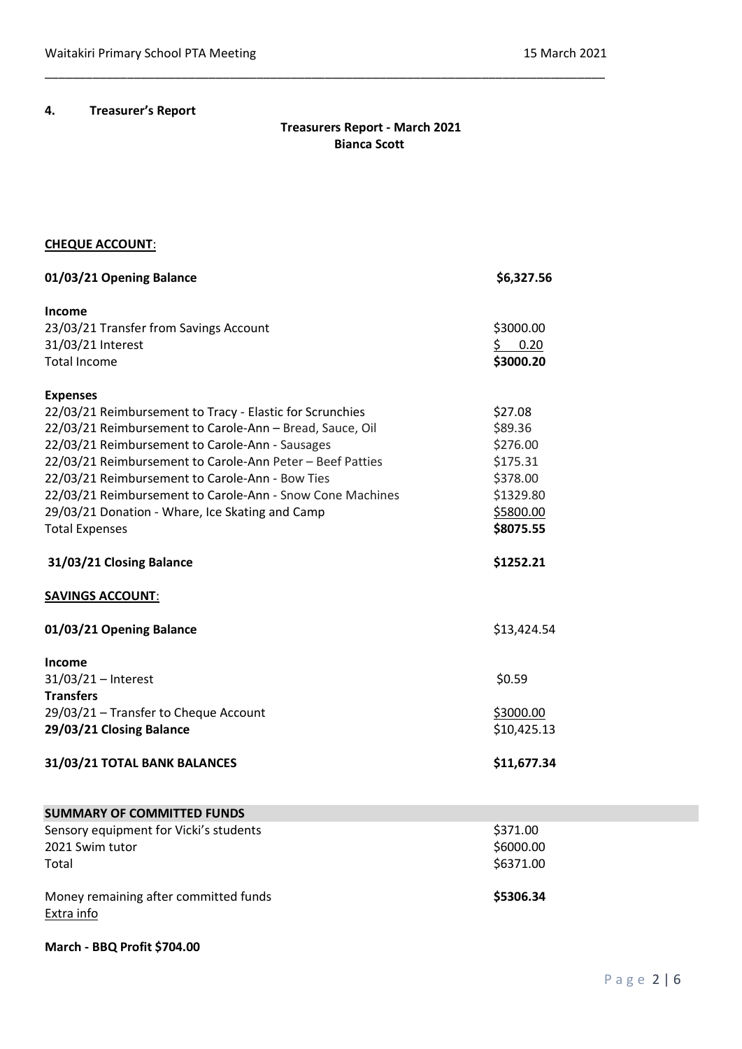# **4. Treasurer's Report**

# **Treasurers Report - March 2021 Bianca Scott**

\_\_\_\_\_\_\_\_\_\_\_\_\_\_\_\_\_\_\_\_\_\_\_\_\_\_\_\_\_\_\_\_\_\_\_\_\_\_\_\_\_\_\_\_\_\_\_\_\_\_\_\_\_\_\_\_\_\_\_\_\_\_\_\_\_\_\_\_\_\_\_\_\_\_\_\_\_\_\_\_\_\_

# **CHEQUE ACCOUNT**:

| 01/03/21 Opening Balance                                  | \$6,327.56         |
|-----------------------------------------------------------|--------------------|
| <b>Income</b>                                             |                    |
| 23/03/21 Transfer from Savings Account                    | \$3000.00          |
| 31/03/21 Interest                                         | $\frac{5}{2}$ 0.20 |
| <b>Total Income</b>                                       | \$3000.20          |
| <b>Expenses</b>                                           |                    |
| 22/03/21 Reimbursement to Tracy - Elastic for Scrunchies  | \$27.08            |
| 22/03/21 Reimbursement to Carole-Ann - Bread, Sauce, Oil  | \$89.36            |
| 22/03/21 Reimbursement to Carole-Ann - Sausages           | \$276.00           |
| 22/03/21 Reimbursement to Carole-Ann Peter - Beef Patties | \$175.31           |
| 22/03/21 Reimbursement to Carole-Ann - Bow Ties           | \$378.00           |
| 22/03/21 Reimbursement to Carole-Ann - Snow Cone Machines | \$1329.80          |
| 29/03/21 Donation - Whare, Ice Skating and Camp           | \$5800.00          |
| <b>Total Expenses</b>                                     | \$8075.55          |
| 31/03/21 Closing Balance                                  | \$1252.21          |
| <b>SAVINGS ACCOUNT:</b>                                   |                    |
| 01/03/21 Opening Balance                                  | \$13,424.54        |
| <b>Income</b>                                             |                    |
| $31/03/21$ - Interest                                     | \$0.59             |
| <b>Transfers</b>                                          |                    |
| 29/03/21 - Transfer to Cheque Account                     | \$3000.00          |
| 29/03/21 Closing Balance                                  | \$10,425.13        |
| 31/03/21 TOTAL BANK BALANCES                              | \$11,677.34        |
| <b>SUMMARY OF COMMITTED FUNDS</b>                         |                    |

| Sensory equipment for Vicki's students | \$371.00  |
|----------------------------------------|-----------|
| 2021 Swim tutor                        | \$6000.00 |
| Total                                  | \$6371.00 |
|                                        |           |
| Money remaining after committed funds  | \$5306.34 |
| Extra info                             |           |
|                                        |           |

**March - BBQ Profit \$704.00**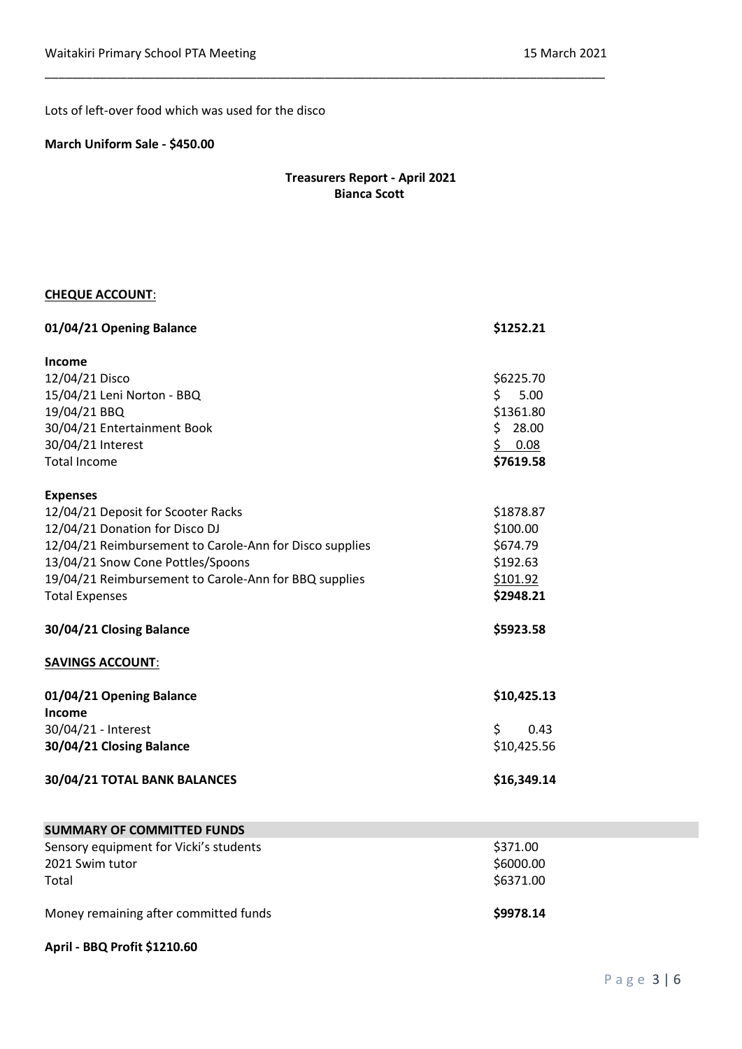Lots of left-over food which was used for the disco

### **March Uniform Sale - \$450.00**

# **Treasurers Report - April 2021 Bianca Scott**

\_\_\_\_\_\_\_\_\_\_\_\_\_\_\_\_\_\_\_\_\_\_\_\_\_\_\_\_\_\_\_\_\_\_\_\_\_\_\_\_\_\_\_\_\_\_\_\_\_\_\_\_\_\_\_\_\_\_\_\_\_\_\_\_\_\_\_\_\_\_\_\_\_\_\_\_\_\_\_\_\_\_

# **CHEQUE ACCOUNT**:

| 01/04/21 Opening Balance                                | \$1252.21    |
|---------------------------------------------------------|--------------|
| <b>Income</b>                                           |              |
| 12/04/21 Disco                                          | \$6225.70    |
| 15/04/21 Leni Norton - BBQ                              | Ś.<br>5.00   |
| 19/04/21 BBQ                                            | \$1361.80    |
| 30/04/21 Entertainment Book                             | \$.<br>28.00 |
| 30/04/21 Interest                                       | \$0.08       |
| <b>Total Income</b>                                     | \$7619.58    |
| <b>Expenses</b>                                         |              |
| 12/04/21 Deposit for Scooter Racks                      | \$1878.87    |
| 12/04/21 Donation for Disco DJ                          | \$100.00     |
| 12/04/21 Reimbursement to Carole-Ann for Disco supplies | \$674.79     |
| 13/04/21 Snow Cone Pottles/Spoons                       | \$192.63     |
| 19/04/21 Reimbursement to Carole-Ann for BBQ supplies   | \$101.92     |
| <b>Total Expenses</b>                                   | \$2948.21    |
| 30/04/21 Closing Balance                                | \$5923.58    |
| <b>SAVINGS ACCOUNT:</b>                                 |              |
| 01/04/21 Opening Balance                                | \$10,425.13  |
| <b>Income</b>                                           |              |
| 30/04/21 - Interest                                     | \$<br>0.43   |
| 30/04/21 Closing Balance                                | \$10,425.56  |
| 30/04/21 TOTAL BANK BALANCES                            | \$16,349.14  |
| <b>SUMMARY OF COMMITTED FUNDS</b>                       |              |
| Sensory equipment for Vicki's students                  | \$371.00     |
| 2021 Swim tutor                                         | \$6000.00    |
| Total                                                   | \$6371.00    |

Money remaining after committed funds **\$9978.14** 

## **April - BBQ Profit \$1210.60**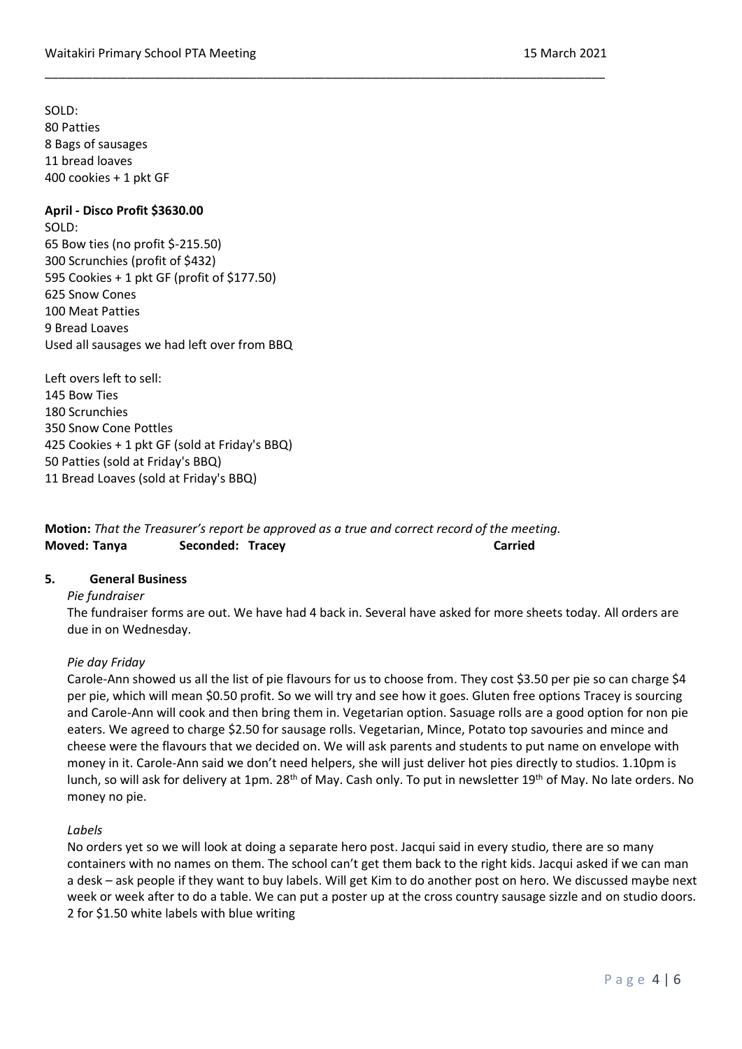SOLD: 80 Patties 8 Bags of sausages 11 bread loaves 400 cookies + 1 pkt GF

### **April - Disco Profit \$3630.00**

SOLD: 65 Bow ties (no profit \$-215.50) 300 Scrunchies (profit of \$432) 595 Cookies + 1 pkt GF (profit of \$177.50) 625 Snow Cones 100 Meat Patties 9 Bread Loaves Used all sausages we had left over from BBQ

Left overs left to sell: 145 Bow Ties 180 Scrunchies 350 Snow Cone Pottles 425 Cookies + 1 pkt GF (sold at Friday's BBQ) 50 Patties (sold at Friday's BBQ) 11 Bread Loaves (sold at Friday's BBQ)

**Motion:** *That the Treasurer's report be approved as a true and correct record of the meeting.* **Moved: Tanya Seconded: Tracey Carried**

\_\_\_\_\_\_\_\_\_\_\_\_\_\_\_\_\_\_\_\_\_\_\_\_\_\_\_\_\_\_\_\_\_\_\_\_\_\_\_\_\_\_\_\_\_\_\_\_\_\_\_\_\_\_\_\_\_\_\_\_\_\_\_\_\_\_\_\_\_\_\_\_\_\_\_\_\_\_\_\_\_\_

### **5. General Business**

#### *Pie fundraiser*

The fundraiser forms are out. We have had 4 back in. Several have asked for more sheets today. All orders are due in on Wednesday.

### *Pie day Friday*

Carole-Ann showed us all the list of pie flavours for us to choose from. They cost \$3.50 per pie so can charge \$4 per pie, which will mean \$0.50 profit. So we will try and see how it goes. Gluten free options Tracey is sourcing and Carole-Ann will cook and then bring them in. Vegetarian option. Sasuage rolls are a good option for non pie eaters. We agreed to charge \$2.50 for sausage rolls. Vegetarian, Mince, Potato top savouries and mince and cheese were the flavours that we decided on. We will ask parents and students to put name on envelope with money in it. Carole-Ann said we don't need helpers, she will just deliver hot pies directly to studios. 1.10pm is lunch, so will ask for delivery at 1pm. 28<sup>th</sup> of May. Cash only. To put in newsletter 19<sup>th</sup> of May. No late orders. No money no pie.

#### *Labels*

No orders yet so we will look at doing a separate hero post. Jacqui said in every studio, there are so many containers with no names on them. The school can't get them back to the right kids. Jacqui asked if we can man a desk – ask people if they want to buy labels. Will get Kim to do another post on hero. We discussed maybe next week or week after to do a table. We can put a poster up at the cross country sausage sizzle and on studio doors. 2 for \$1.50 white labels with blue writing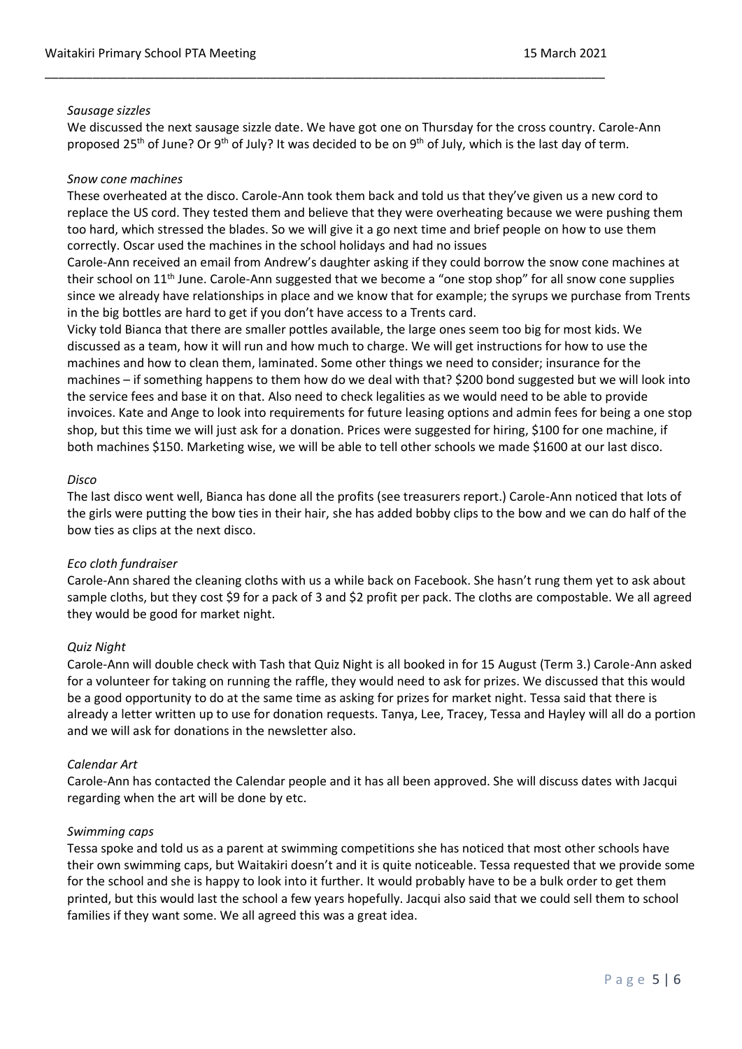### *Sausage sizzles*

We discussed the next sausage sizzle date. We have got one on Thursday for the cross country. Carole-Ann proposed 25<sup>th</sup> of June? Or 9<sup>th</sup> of July? It was decided to be on 9<sup>th</sup> of July, which is the last day of term.

\_\_\_\_\_\_\_\_\_\_\_\_\_\_\_\_\_\_\_\_\_\_\_\_\_\_\_\_\_\_\_\_\_\_\_\_\_\_\_\_\_\_\_\_\_\_\_\_\_\_\_\_\_\_\_\_\_\_\_\_\_\_\_\_\_\_\_\_\_\_\_\_\_\_\_\_\_\_\_\_\_\_

## *Snow cone machines*

These overheated at the disco. Carole-Ann took them back and told us that they've given us a new cord to replace the US cord. They tested them and believe that they were overheating because we were pushing them too hard, which stressed the blades. So we will give it a go next time and brief people on how to use them correctly. Oscar used the machines in the school holidays and had no issues

Carole-Ann received an email from Andrew's daughter asking if they could borrow the snow cone machines at their school on 11<sup>th</sup> June. Carole-Ann suggested that we become a "one stop shop" for all snow cone supplies since we already have relationships in place and we know that for example; the syrups we purchase from Trents in the big bottles are hard to get if you don't have access to a Trents card.

Vicky told Bianca that there are smaller pottles available, the large ones seem too big for most kids. We discussed as a team, how it will run and how much to charge. We will get instructions for how to use the machines and how to clean them, laminated. Some other things we need to consider; insurance for the machines – if something happens to them how do we deal with that? \$200 bond suggested but we will look into the service fees and base it on that. Also need to check legalities as we would need to be able to provide invoices. Kate and Ange to look into requirements for future leasing options and admin fees for being a one stop shop, but this time we will just ask for a donation. Prices were suggested for hiring, \$100 for one machine, if both machines \$150. Marketing wise, we will be able to tell other schools we made \$1600 at our last disco.

## *Disco*

The last disco went well, Bianca has done all the profits (see treasurers report.) Carole-Ann noticed that lots of the girls were putting the bow ties in their hair, she has added bobby clips to the bow and we can do half of the bow ties as clips at the next disco.

### *Eco cloth fundraiser*

Carole-Ann shared the cleaning cloths with us a while back on Facebook. She hasn't rung them yet to ask about sample cloths, but they cost \$9 for a pack of 3 and \$2 profit per pack. The cloths are compostable. We all agreed they would be good for market night.

### *Quiz Night*

Carole-Ann will double check with Tash that Quiz Night is all booked in for 15 August (Term 3.) Carole-Ann asked for a volunteer for taking on running the raffle, they would need to ask for prizes. We discussed that this would be a good opportunity to do at the same time as asking for prizes for market night. Tessa said that there is already a letter written up to use for donation requests. Tanya, Lee, Tracey, Tessa and Hayley will all do a portion and we will ask for donations in the newsletter also.

### *Calendar Art*

Carole-Ann has contacted the Calendar people and it has all been approved. She will discuss dates with Jacqui regarding when the art will be done by etc.

### *Swimming caps*

Tessa spoke and told us as a parent at swimming competitions she has noticed that most other schools have their own swimming caps, but Waitakiri doesn't and it is quite noticeable. Tessa requested that we provide some for the school and she is happy to look into it further. It would probably have to be a bulk order to get them printed, but this would last the school a few years hopefully. Jacqui also said that we could sell them to school families if they want some. We all agreed this was a great idea.